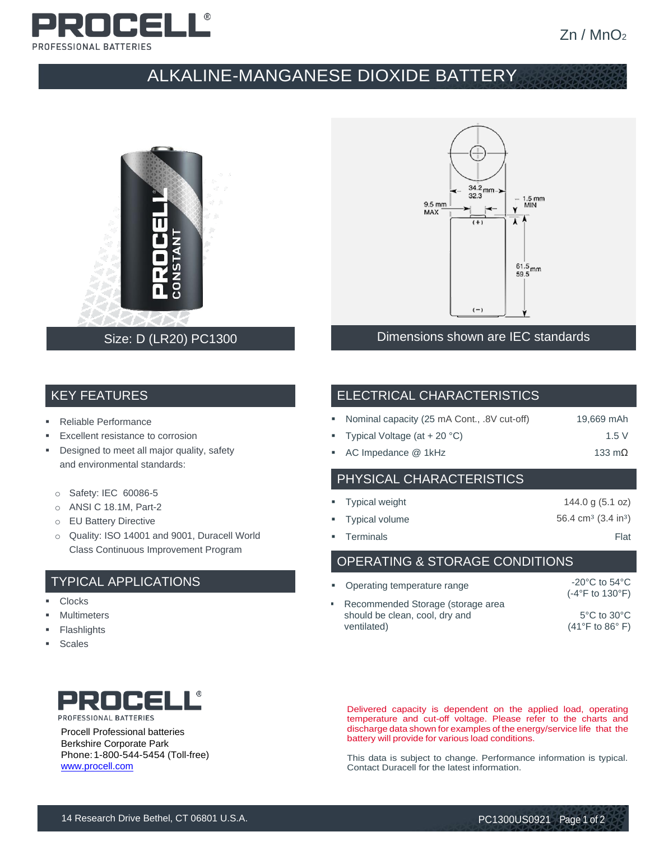

# ALKALINE-MANGANESE DIOXIDE BATTERY



## $34.2$  mm -> 32.3 1.5 mm<br>MIN  $9.5 \text{ mm}$ MAX  $\overline{\mathbf{A}}$  $(+)$  $61.5$ <sub>mm</sub>  $(-)$ Dimensions shown are IEC standards

# KEY FEATURES

- Reliable Performance
- Excellent resistance to corrosion
- **•** Designed to meet all major quality, safety and environmental standards:
	- o Safety: IEC 60086-5
	- o ANSI C 18.1M, Part-2
	- o EU Battery Directive
	- o Quality: ISO 14001 and 9001, Duracell World Class Continuous Improvement Program

#### TYPICAL APPLICATIONS

- Clocks
- **Multimeters**
- **Flashlights**
- Scales



Procell Professional batteries Berkshire Corporate Park Phone:1-800-544-5454 (Toll-free) [www.procell.com](http://www.procell.com/)

#### ELECTRICAL CHARACTERISTICS

|  | • Nominal capacity (25 mA Cont., .8V cut-off) |  |  | 19,669 mAh |
|--|-----------------------------------------------|--|--|------------|
|--|-----------------------------------------------|--|--|------------|

- Typical Voltage  $(at + 20 °C)$  1.5 V
- AC Impedance @ 1kHz 133 mΩ

#### PHYSICAL CHARACTERISTICS

| • Typical weight | 144.0 g $(5.1 \text{ oz})$                |
|------------------|-------------------------------------------|
| " Typical volume | 56.4 cm <sup>3</sup> $(3.4 \text{ in}^3)$ |
| • Terminals      | Flat                                      |

#### OPERATING & STORAGE CONDITIONS

| • Operating temperature range                                                        | $-20^{\circ}$ C to 54 $^{\circ}$ C<br>$(-4$ °F to 130°F)               |
|--------------------------------------------------------------------------------------|------------------------------------------------------------------------|
| • Recommended Storage (storage area<br>should be clean, cool, dry and<br>ventilated) | $5^{\circ}$ C to $30^{\circ}$ C<br>$(41^{\circ}$ F to 86 $^{\circ}$ F) |

Delivered capacity is dependent on the applied load, operating temperature and cut-off voltage. Please refer to the charts and discharge data shown for examples of the energy/service life that the battery will provide for various load conditions.

This data is subject to change. Performance information is typical. Contact Duracell for the latest information.